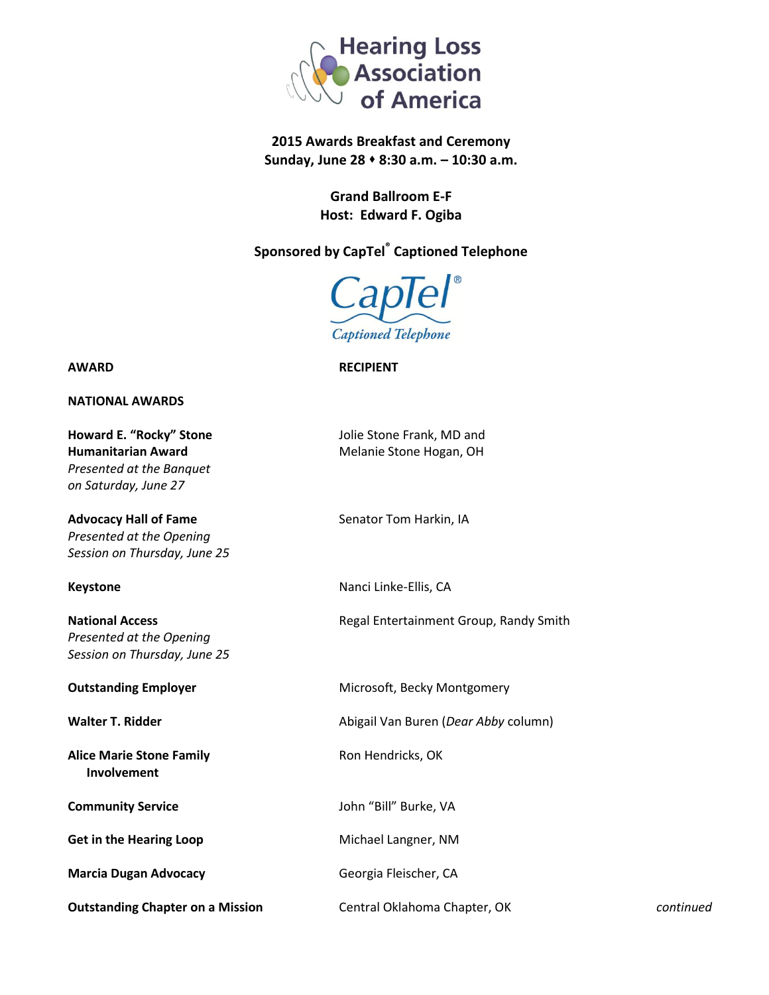

## **2015 Awards Breakfast and Ceremony Sunday, June 28 8:30 a.m. – 10:30 a.m.**

**Grand Ballroom E-F Host: Edward F. Ogiba**

## **Sponsored by CapTel® Captioned Telephone**



**AWARD RECIPIENT**

**NATIONAL AWARDS**

**Humanitarian Award** Melanie Stone Hogan, OH *Presented at the Banquet on Saturday, June 27*

**Advocacy Hall of Fame** Senator Tom Harkin, IA *Presented at the Opening Session on Thursday, June 25*

*Presented at the Opening Session on Thursday, June 25*

**Alice Marie Stone Family Maria Ron Hendricks, OK Involvement**

Get in the Hearing Loop Michael Langner, NM

**Marcia Dugan Advocacy** Georgia Fleischer, CA

**Outstanding Chapter on a Mission** Central Oklahoma Chapter, OK *continued*

**Howard E. "Rocky" Stone Jolie Stone Frank, MD and** 

**Keystone** Nanci Linke-Ellis, CA

**National Access Regal Entertainment Group, Randy Smith** Regal Entertainment Group, Randy Smith

**Outstanding Employer** Microsoft, Becky Montgomery

**Walter T. Ridder Abigail Van Buren (***Dear Abby* **column**)

**Community Service Community Service John** "Bill" Burke, VA